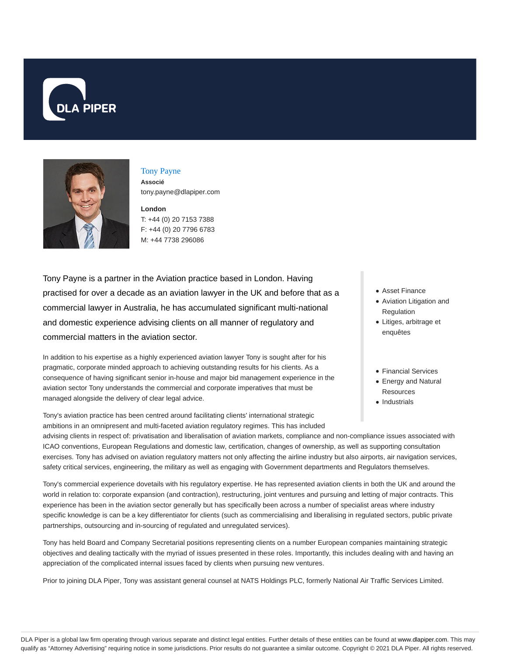



## Tony Payne

**Associé** tony.payne@dlapiper.com

**London** T: +44 (0) 20 7153 7388 F: +44 (0) 20 7796 6783 M: +44 7738 296086

Tony Payne is a partner in the Aviation practice based in London. Having practised for over a decade as an aviation lawyer in the UK and before that as a commercial lawyer in Australia, he has accumulated significant multi-national and domestic experience advising clients on all manner of regulatory and commercial matters in the aviation sector.

In addition to his expertise as a highly experienced aviation lawyer Tony is sought after for his pragmatic, corporate minded approach to achieving outstanding results for his clients. As a consequence of having significant senior in-house and major bid management experience in the aviation sector Tony understands the commercial and corporate imperatives that must be managed alongside the delivery of clear legal advice.

Tony's aviation practice has been centred around facilitating clients' international strategic ambitions in an omnipresent and multi-faceted aviation regulatory regimes. This has included

- Asset Finance
- Aviation Litigation and Regulation
- Litiges, arbitrage et enquêtes
- Financial Services
- Energy and Natural **Resources**
- Industrials

advising clients in respect of: privatisation and liberalisation of aviation markets, compliance and non-compliance issues associated with ICAO conventions, European Regulations and domestic law, certification, changes of ownership, as well as supporting consultation exercises. Tony has advised on aviation regulatory matters not only affecting the airline industry but also airports, air navigation services, safety critical services, engineering, the military as well as engaging with Government departments and Regulators themselves.

Tony's commercial experience dovetails with his regulatory expertise. He has represented aviation clients in both the UK and around the world in relation to: corporate expansion (and contraction), restructuring, joint ventures and pursuing and letting of major contracts. This experience has been in the aviation sector generally but has specifically been across a number of specialist areas where industry specific knowledge is can be a key differentiator for clients (such as commercialising and liberalising in regulated sectors, public private partnerships, outsourcing and in-sourcing of regulated and unregulated services).

Tony has held Board and Company Secretarial positions representing clients on a number European companies maintaining strategic objectives and dealing tactically with the myriad of issues presented in these roles. Importantly, this includes dealing with and having an appreciation of the complicated internal issues faced by clients when pursuing new ventures.

Prior to joining DLA Piper, Tony was assistant general counsel at NATS Holdings PLC, formerly National Air Traffic Services Limited.